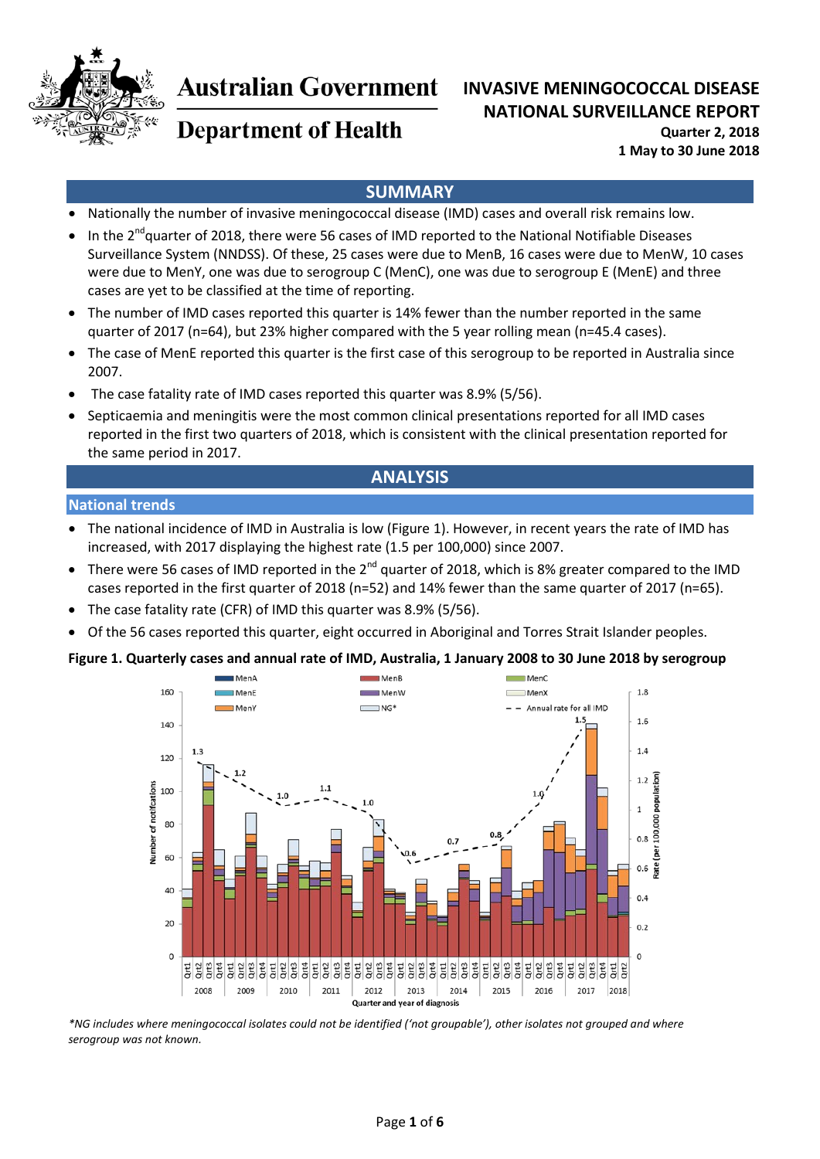

# **Australian Government**

# **INVASIVE MENINGOCOCCAL DISEASE NATIONAL SURVEILLANCE REPORT**

# **Department of Health**

**Quarter 2, 2018 1 May to 30 June 2018**

# **SUMMARY**

- Nationally the number of invasive meningococcal disease (IMD) cases and overall risk remains low.
- In the 2<sup>nd</sup>quarter of 2018, there were 56 cases of IMD reported to the National Notifiable Diseases Surveillance System (NNDSS). Of these, 25 cases were due to MenB, 16 cases were due to MenW, 10 cases were due to MenY, one was due to serogroup C (MenC), one was due to serogroup E (MenE) and three cases are yet to be classified at the time of reporting.
- The number of IMD cases reported this quarter is 14% fewer than the number reported in the same quarter of 2017 (n=64), but 23% higher compared with the 5 year rolling mean (n=45.4 cases).
- The case of MenE reported this quarter is the first case of this serogroup to be reported in Australia since 2007.
- The case fatality rate of IMD cases reported this quarter was 8.9% (5/56).
- Septicaemia and meningitis were the most common clinical presentations reported for all IMD cases reported in the first two quarters of 2018, which is consistent with the clinical presentation reported for the same period in 2017.

# **ANALYSIS**

#### **National trends**

- The national incidence of IMD in Australia is low [\(Figure 1\)](#page-0-0). However, in recent years the rate of IMD has increased, with 2017 displaying the highest rate (1.5 per 100,000) since 2007.
- There were 56 cases of IMD reported in the  $2^{nd}$  quarter of 2018, which is 8% greater compared to the IMD cases reported in the first quarter of 2018 (n=52) and 14% fewer than the same quarter of 2017 (n=65).
- The case fatality rate (CFR) of IMD this quarter was 8.9% (5/56).
- Of the 56 cases reported this quarter, eight occurred in Aboriginal and Torres Strait Islander peoples.

#### <span id="page-0-0"></span>**Figure 1. Quarterly cases and annual rate of IMD, Australia, 1 January 2008 to 30 June 2018 by serogroup**



*\*NG includes where meningococcal isolates could not be identified ('not groupable'), other isolates not grouped and where serogroup was not known.*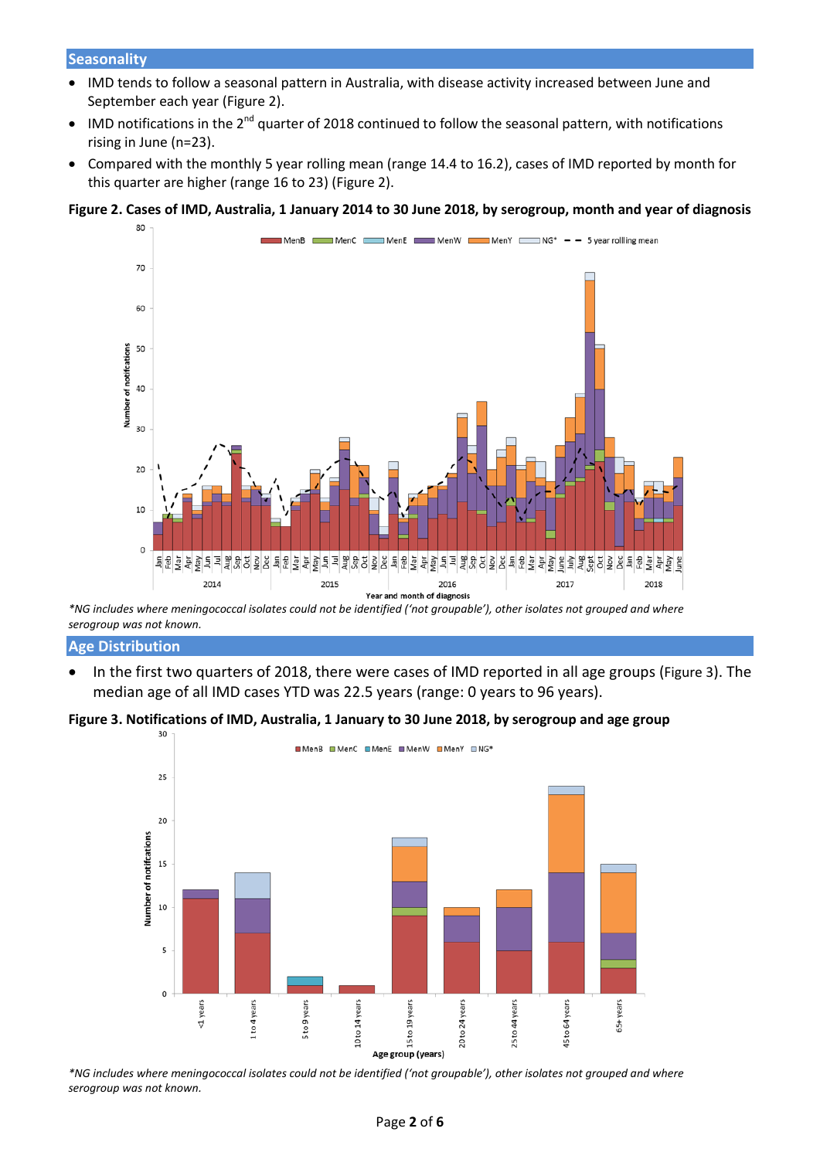- IMD tends to follow a seasonal pattern in Australia, with disease activity increased between June and September each year [\(Figure 2\)](#page-1-0).
- IMD notifications in the  $2^{nd}$  quarter of 2018 continued to follow the seasonal pattern, with notifications rising in June (n=23).
- Compared with the monthly 5 year rolling mean (range 14.4 to 16.2), cases of IMD reported by month for this quarter are higher (range 16 to 23) [\(Figure 2\)](#page-1-0).

#### <span id="page-1-0"></span>**Figure 2. Cases of IMD, Australia, 1 January 2014 to 30 June 2018, by serogroup, month and year of diagnosis**



*\*NG includes where meningococcal isolates could not be identified ('not groupable'), other isolates not grouped and where serogroup was not known.* 

#### **Age Distribution**

• In the first two quarters of 2018, there were cases of IMD reported in all age groups [\(Figure 3\)](#page-1-1). The median age of all IMD cases YTD was 22.5 years (range: 0 years to 96 years).

# <span id="page-1-1"></span>**Figure 3. Notifications of IMD, Australia, 1 January to 30 June 2018, by serogroup and age group**



*\*NG includes where meningococcal isolates could not be identified ('not groupable'), other isolates not grouped and where serogroup was not known.*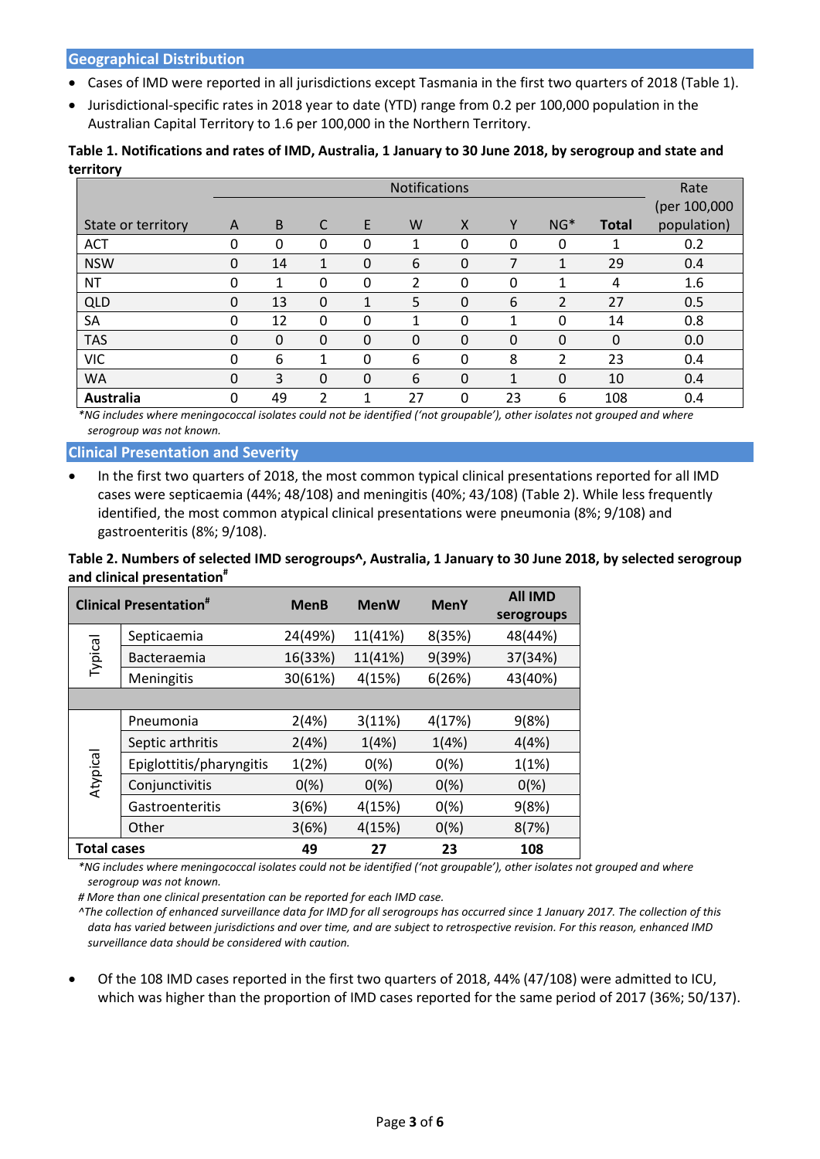- Cases of IMD were reported in all jurisdictions except Tasmania in the first two quarters of 2018 [\(Table 1\)](#page-2-0).
- Jurisdictional-specific rates in 2018 year to date (YTD) range from 0.2 per 100,000 population in the Australian Capital Territory to 1.6 per 100,000 in the Northern Territory.

<span id="page-2-0"></span>

| Table 1. Notifications and rates of IMD, Australia, 1 January to 30 June 2018, by serogroup and state and |  |
|-----------------------------------------------------------------------------------------------------------|--|
| territory                                                                                                 |  |

|                    | <b>Notifications</b> |          |          |   |    |              |    | Rate           |              |              |
|--------------------|----------------------|----------|----------|---|----|--------------|----|----------------|--------------|--------------|
|                    |                      |          |          |   |    |              |    |                |              | (per 100,000 |
| State or territory | A                    | B        | C        | E | W  | $\mathsf{x}$ | Υ  | $NG*$          | <b>Total</b> | population)  |
| <b>ACT</b>         | 0                    | 0        | 0        | 0 | 1  | 0            | 0  | 0              |              | 0.2          |
| <b>NSW</b>         | $\Omega$             | 14       | 1        | 0 | 6  | 0            | 7  | 1              | 29           | 0.4          |
| <b>NT</b>          | 0                    | 1        | 0        | 0 | 2  | 0            | 0  |                | 4            | 1.6          |
| QLD                | 0                    | 13       | $\Omega$ | 1 | 5  | 0            | 6  | $\overline{2}$ | 27           | 0.5          |
| SA                 | $\Omega$             | 12       | $\Omega$ | 0 | 1  | 0            | 1  | 0              | 14           | 0.8          |
| <b>TAS</b>         | $\Omega$             | $\Omega$ | $\Omega$ | 0 | 0  | 0            | 0  | 0              | 0            | 0.0          |
| <b>VIC</b>         | 0                    | 6        | 1        | 0 | 6  | 0            | 8  | 2              | 23           | 0.4          |
| <b>WA</b>          | $\Omega$             | 3        | $\Omega$ | 0 | 6  | 0            | 1  | 0              | 10           | 0.4          |
| Australia          | 0                    | 49       | 2        | 1 | 27 | 0            | 23 | 6              | 108          | 0.4          |

*\*NG includes where meningococcal isolates could not be identified ('not groupable'), other isolates not grouped and where serogroup was not known.* 

**Clinical Presentation and Severity**

<span id="page-2-1"></span>• In the first two quarters of 2018, the most common typical clinical presentations reported for all IMD cases were septicaemia (44%; 48/108) and meningitis (40%; 43/108) (Table 2). While less frequently identified, the most common atypical clinical presentations were pneumonia (8%; 9/108) and gastroenteritis (8%; 9/108).

## **Table 2. Numbers of selected IMD serogroups^, Australia, 1 January to 30 June 2018, by selected serogroup and clinical presentation#**

| <b>Clinical Presentation<sup>#</sup></b> |                          | <b>MenB</b> | <b>MenW</b> | <b>MenY</b> | <b>All IMD</b> |
|------------------------------------------|--------------------------|-------------|-------------|-------------|----------------|
|                                          |                          |             |             |             | serogroups     |
|                                          | Septicaemia              | 24(49%)     | 11(41%)     | 8(35%)      | 48(44%)        |
| Typical                                  | Bacteraemia              | 16(33%)     | 11(41%)     | 9(39%)      | 37(34%)        |
|                                          | Meningitis               | 30(61%)     | 4(15%)      | 6(26%)      | 43(40%)        |
|                                          |                          |             |             |             |                |
| Atypical                                 | Pneumonia                | 2(4%)       | 3(11%)      | 4(17%)      | 9(8%)          |
|                                          | Septic arthritis         | 2(4%)       | 1(4%)       | 1(4%)       | 4(4%)          |
|                                          | Epiglottitis/pharyngitis | 1(2%)       | 0(%)        | 0(%)        | 1(1%)          |
|                                          | Conjunctivitis           | 0(% )       | 0(%)        | 0(%)        | 0(%)           |
|                                          | Gastroenteritis          | 3(6%)       | 4(15%)      | 0(%)        | 9(8%)          |
|                                          | Other                    | 3(6%)       | 4(15%)      | 0(%)        | 8(7%)          |
| <b>Total cases</b>                       |                          | 49          | 27          | 23          | 108            |

*\*NG includes where meningococcal isolates could not be identified ('not groupable'), other isolates not grouped and where serogroup was not known.* 

*# More than one clinical presentation can be reported for each IMD case.*

*^The collection of enhanced surveillance data for IMD for all serogroups has occurred since 1 January 2017. The collection of this data has varied between jurisdictions and over time, and are subject to retrospective revision. For this reason, enhanced IMD surveillance data should be considered with caution.*

• Of the 108 IMD cases reported in the first two quarters of 2018, 44% (47/108) were admitted to ICU, which was higher than the proportion of IMD cases reported for the same period of 2017 (36%; 50/137).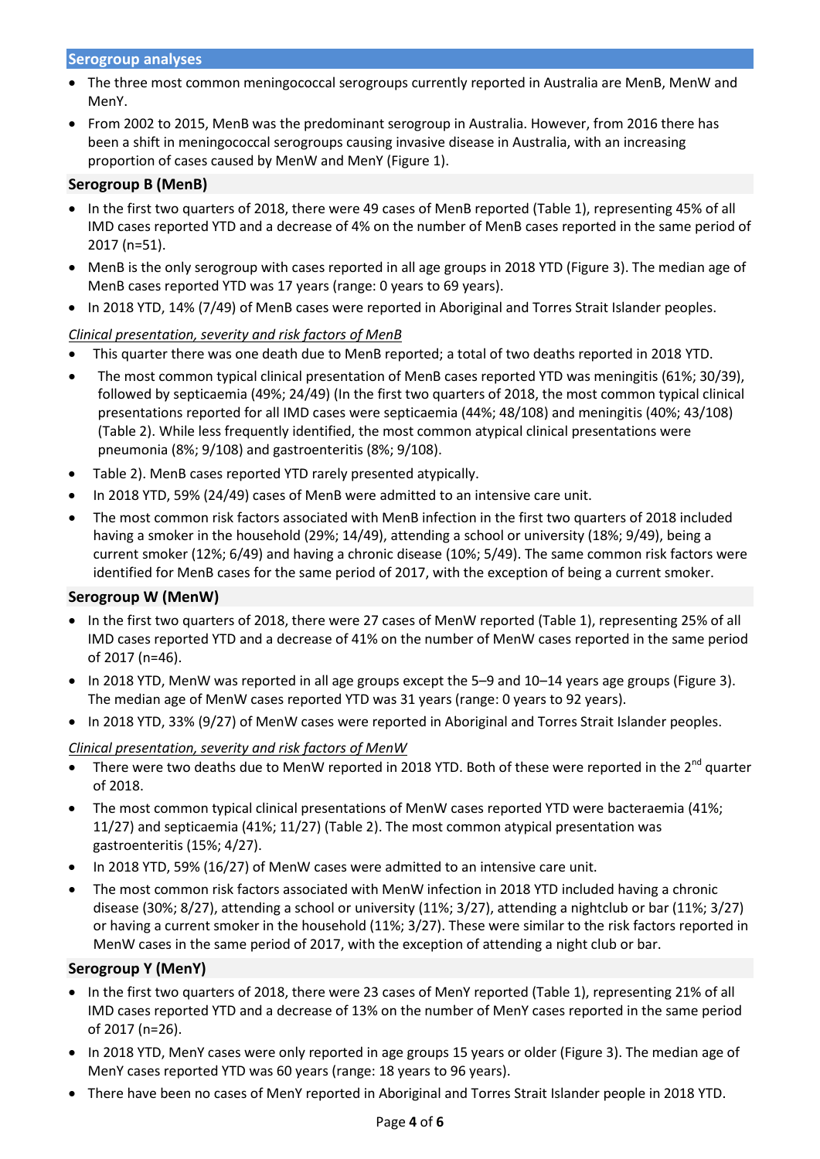#### **Serogroup analyses**

- The three most common meningococcal serogroups currently reported in Australia are MenB, MenW and MenY.
- From 2002 to 2015, MenB was the predominant serogroup in Australia. However, from 2016 there has been a shift in meningococcal serogroups causing invasive disease in Australia, with an increasing proportion of cases caused by MenW and MenY [\(Figure 1\)](#page-0-0).

### **Serogroup B (MenB)**

- In the first two quarters of 2018, there were 49 cases of MenB reported (Table 1), representing 45% of all IMD cases reported YTD and a decrease of 4% on the number of MenB cases reported in the same period of 2017 (n=51).
- MenB is the only serogroup with cases reported in all age groups in 2018 YTD [\(Figure 3\)](#page-1-1). The median age of MenB cases reported YTD was 17 years (range: 0 years to 69 years).
- In 2018 YTD, 14% (7/49) of MenB cases were reported in Aboriginal and Torres Strait Islander peoples.

## *Clinical presentation, severity and risk factors of MenB*

- This quarter there was one death due to MenB reported; a total of two deaths reported in 2018 YTD.
- The most common typical clinical presentation of MenB cases reported YTD was meningitis (61%; 30/39), followed by septicaemia (49%; 24/49) [\(In the first two quarters of 2018, the most common typical clinical](#page-2-1)  [presentations reported for all IMD cases were septicaemia \(44%; 48/108\)](#page-2-1) and meningitis (40%; 43/108) [\(Table 2\). While less frequently identified, the most common atypical clinical presentations were](#page-2-1)  [pneumonia \(8%; 9/108\) and gastroenteritis \(8%; 9/108\).](#page-2-1)
- [Table 2\)](#page-2-1). MenB cases reported YTD rarely presented atypically.
- In 2018 YTD, 59% (24/49) cases of MenB were admitted to an intensive care unit.
- The most common risk factors associated with MenB infection in the first two quarters of 2018 included having a smoker in the household (29%; 14/49), attending a school or university (18%; 9/49), being a current smoker (12%; 6/49) and having a chronic disease (10%; 5/49). The same common risk factors were identified for MenB cases for the same period of 2017, with the exception of being a current smoker.

#### **Serogroup W (MenW)**

- In the first two quarters of 2018, there were 27 cases of MenW reported (Table 1), representing 25% of all IMD cases reported YTD and a decrease of 41% on the number of MenW cases reported in the same period of 2017 (n=46).
- In 2018 YTD, MenW was reported in all age groups except the 5–9 and 10–14 years age groups [\(Figure 3\)](#page-1-1). The median age of MenW cases reported YTD was 31 years (range: 0 years to 92 years).
- In 2018 YTD, 33% (9/27) of MenW cases were reported in Aboriginal and Torres Strait Islander peoples.

#### *Clinical presentation, severity and risk factors of MenW*

- There were two deaths due to MenW reported in 2018 YTD. Both of these were reported in the  $2^{nd}$  quarter of 2018.
- The most common typical clinical presentations of MenW cases reported YTD were bacteraemia (41%; 11/27) and septicaemia (41%; 11/27) (Table 2). The most common atypical presentation was gastroenteritis (15%; 4/27).
- In 2018 YTD, 59% (16/27) of MenW cases were admitted to an intensive care unit.
- The most common risk factors associated with MenW infection in 2018 YTD included having a chronic disease (30%; 8/27), attending a school or university (11%; 3/27), attending a nightclub or bar (11%; 3/27) or having a current smoker in the household (11%; 3/27). These were similar to the risk factors reported in MenW cases in the same period of 2017, with the exception of attending a night club or bar.

#### **Serogroup Y (MenY)**

- In the first two quarters of 2018, there were 23 cases of MenY reported (Table 1), representing 21% of all IMD cases reported YTD and a decrease of 13% on the number of MenY cases reported in the same period of 2017 (n=26).
- In 2018 YTD, MenY cases were only reported in age groups 15 years or older [\(Figure 3\)](#page-1-1). The median age of MenY cases reported YTD was 60 years (range: 18 years to 96 years).
- There have been no cases of MenY reported in Aboriginal and Torres Strait Islander people in 2018 YTD.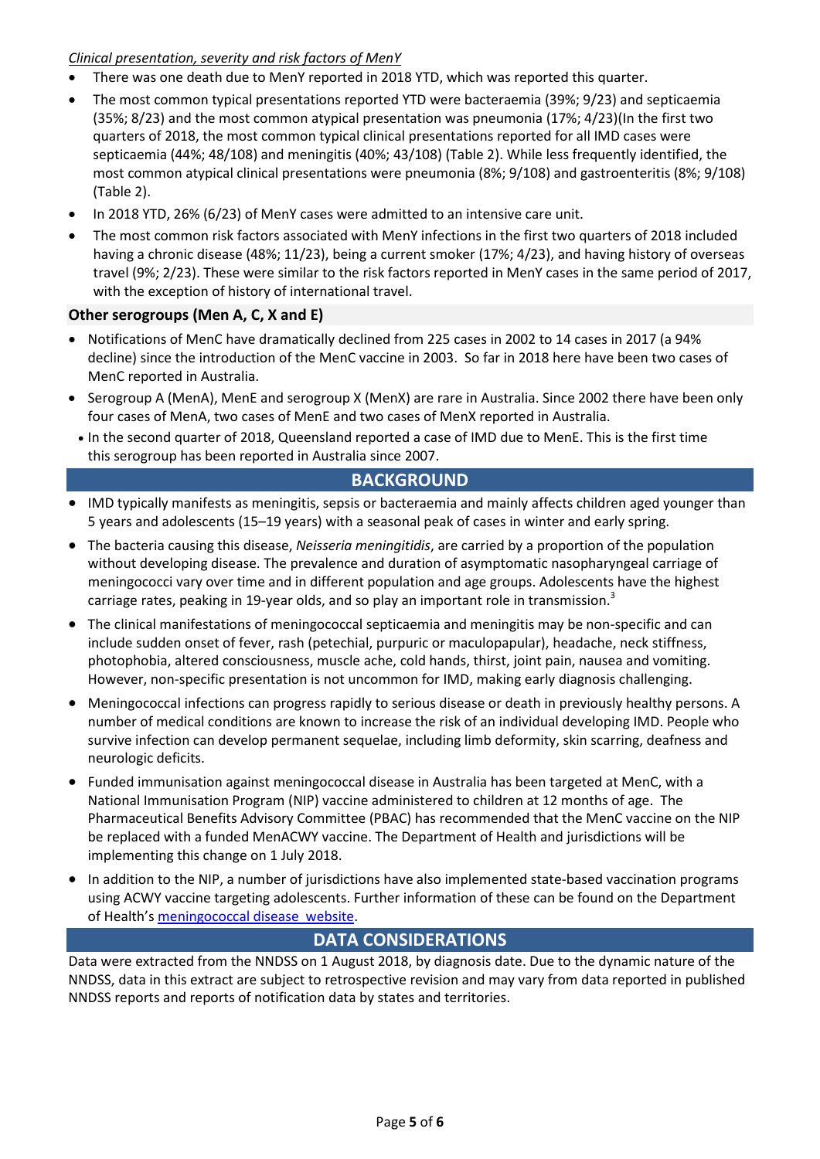### *Clinical presentation, severity and risk factors of MenY*

- There was one death due to MenY reported in 2018 YTD, which was reported this quarter.
- The most common typical presentations reported YTD were bacteraemia (39%; 9/23) and septicaemia (35%; 8/23) and the most common atypical presentation was pneumonia (17%; 4/23)[\(In the first two](#page-2-1)  [quarters of 2018, the most common typical clinical presentations reported for all IMD cases were](#page-2-1)  [septicaemia \(44%; 48/108\) and meningitis \(40%; 43/108\) \(Table 2\). While less frequently identified, the](#page-2-1)  [most common atypical clinical presentations were pneumonia \(8%; 9/108\) and gastroenteritis \(8%; 9/108\)](#page-2-1)  [\(Table 2\)](#page-2-1).
- In 2018 YTD, 26% (6/23) of MenY cases were admitted to an intensive care unit.
- The most common risk factors associated with MenY infections in the first two quarters of 2018 included having a chronic disease (48%; 11/23), being a current smoker (17%; 4/23), and having history of overseas travel (9%; 2/23). These were similar to the risk factors reported in MenY cases in the same period of 2017, with the exception of history of international travel.

## **Other serogroups (Men A, C, X and E)**

- Notifications of MenC have dramatically declined from 225 cases in 2002 to 14 cases in 2017 (a 94% decline) since the introduction of the MenC vaccine in 2003. So far in 2018 here have been two cases of MenC reported in Australia.
- Serogroup A (MenA), MenE and serogroup X (MenX) are rare in Australia. Since 2002 there have been only four cases of MenA, two cases of MenE and two cases of MenX reported in Australia.
- In the second quarter of 2018, Queensland reported a case of IMD due to MenE. This is the first time this serogroup has been reported in Australia since 2007.

# **BACKGROUND**

- IMD typically manifests as meningitis, sepsis or bacteraemia and mainly affects children aged younger than 5 years and adolescents (15–19 years) with a seasonal peak of cases in winter and early spring.
- The bacteria causing this disease, *Neisseria meningitidis*, are carried by a proportion of the population without developing disease. The prevalence and duration of asymptomatic nasopharyngeal carriage of meningococci vary over time and in different population and age groups. Adolescents have the highest carriage rates, peaking in 19-year olds, and so play an important role in transmission.<sup>3</sup>
- The clinical manifestations of meningococcal septicaemia and meningitis may be non-specific and can include sudden onset of fever, rash (petechial, purpuric or maculopapular), headache, neck stiffness, photophobia, altered consciousness, muscle ache, cold hands, thirst, joint pain, nausea and vomiting. However, non-specific presentation is not uncommon for IMD, making early diagnosis challenging.
- Meningococcal infections can progress rapidly to serious disease or death in previously healthy persons. A number of medical conditions are known to increase the risk of an individual developing IMD. People who survive infection can develop permanent sequelae, including limb deformity, skin scarring, deafness and neurologic deficits.
- Funded immunisation against meningococcal disease in Australia has been targeted at MenC, with a National Immunisation Program (NIP) vaccine administered to children at 12 months of age. The Pharmaceutical Benefits Advisory Committee (PBAC) has recommended that the MenC vaccine on the NIP be replaced with a funded MenACWY vaccine. The Department of Health and jurisdictions will be implementing this change on 1 July 2018.
- In addition to the NIP, a number of jurisdictions have also implemented state-based vaccination programs using ACWY vaccine targeting adolescents. Further information of these can be found on the Department of Health'[s meningococcal disease website.](http://www.health.gov.au/internet/main/publishing.nsf/Content/ohp-meningococcal-W.htm)

## **DATA CONSIDERATIONS**

Data were extracted from the NNDSS on 1 August 2018, by diagnosis date. Due to the dynamic nature of the NNDSS, data in this extract are subject to retrospective revision and may vary from data reported in published NNDSS reports and reports of notification data by states and territories.